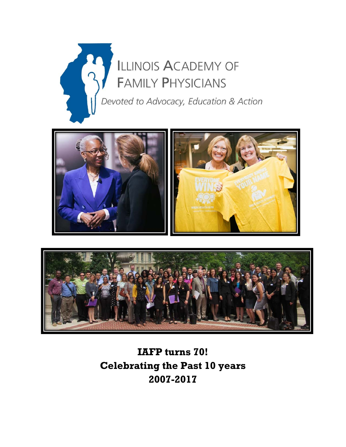





# **IAFP turns 70! Celebrating the Past 10 years 2007-2017**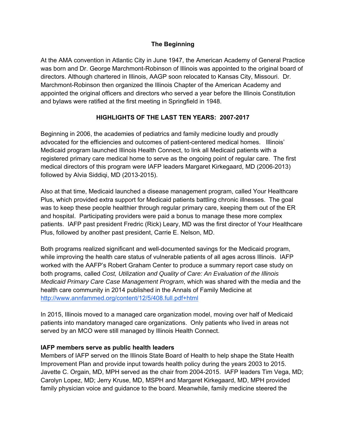## **The Beginning**

At the AMA convention in Atlantic City in June 1947, the American Academy of General Practice was born and Dr. George Marchmont-Robinson of Illinois was appointed to the original board of directors. Although chartered in Illinois, AAGP soon relocated to Kansas City, Missouri. Dr. Marchmont-Robinson then organized the Illinois Chapter of the American Academy and appointed the original officers and directors who served a year before the Illinois Constitution and bylaws were ratified at the first meeting in Springfield in 1948.

# **HIGHLIGHTS OF THE LAST TEN YEARS: 2007-2017**

Beginning in 2006, the academies of pediatrics and family medicine loudly and proudly advocated for the efficiencies and outcomes of patient-centered medical homes. Illinois' Medicaid program launched Illinois Health Connect, to link all Medicaid patients with a registered primary care medical home to serve as the ongoing point of regular care. The first medical directors of this program were IAFP leaders Margaret Kirkegaard, MD (2006-2013) followed by Alvia Siddiqi, MD (2013-2015).

Also at that time, Medicaid launched a disease management program, called Your Healthcare Plus, which provided extra support for Medicaid patients battling chronic illnesses. The goal was to keep these people healthier through regular primary care, keeping them out of the ER and hospital. Participating providers were paid a bonus to manage these more complex patients. IAFP past president Fredric (Rick) Leary, MD was the first director of Your Healthcare Plus, followed by another past president, Carrie E. Nelson, MD.

Both programs realized significant and well-documented savings for the Medicaid program, while improving the health care status of vulnerable patients of all ages across Illinois. IAFP worked with the AAFP's Robert Graham Center to produce a summary report case study on both programs, called *Cost, Utilization and Quality of Care: An Evaluation of the Illinois Medicaid Primary Care Case Management Program*, which was shared with the media and the health care community in 2014 published in the Annals of Family Medicine at http://www.annfammed.org/content/12/5/408.full.pdf+html

In 2015, Illinois moved to a managed care organization model, moving over half of Medicaid patients into mandatory managed care organizations. Only patients who lived in areas not served by an MCO were still managed by Illinois Health Connect.

#### **IAFP members serve as public health leaders**

Members of IAFP served on the Illinois State Board of Health to help shape the State Health Improvement Plan and provide input towards health policy during the years 2003 to 2015. Javette C. Orgain, MD, MPH served as the chair from 2004-2015. IAFP leaders Tim Vega, MD; Carolyn Lopez, MD; Jerry Kruse, MD, MSPH and Margaret Kirkegaard, MD, MPH provided family physician voice and guidance to the board. Meanwhile, family medicine steered the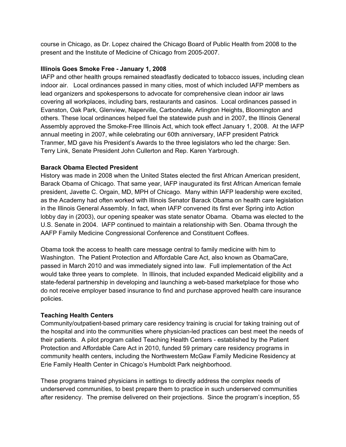course in Chicago, as Dr. Lopez chaired the Chicago Board of Public Health from 2008 to the present and the Institute of Medicine of Chicago from 2005-2007.

### **Illinois Goes Smoke Free - January 1, 2008**

IAFP and other health groups remained steadfastly dedicated to tobacco issues, including clean indoor air. Local ordinances passed in many cities, most of which included IAFP members as lead organizers and spokespersons to advocate for comprehensive clean indoor air laws covering all workplaces, including bars, restaurants and casinos. Local ordinances passed in Evanston, Oak Park, Glenview, Naperville, Carbondale, Arlington Heights, Bloomington and others. These local ordinances helped fuel the statewide push and in 2007, the Illinois General Assembly approved the Smoke-Free Illinois Act, which took effect January 1, 2008. At the IAFP annual meeting in 2007, while celebrating our 60th anniversary, IAFP president Patrick Tranmer, MD gave his President's Awards to the three legislators who led the charge: Sen. Terry Link, Senate President John Cullerton and Rep. Karen Yarbrough.

#### **Barack Obama Elected President**

History was made in 2008 when the United States elected the first African American president, Barack Obama of Chicago. That same year, IAFP inaugurated its first African American female president, Javette C. Orgain, MD, MPH of Chicago. Many within IAFP leadership were excited, as the Academy had often worked with Illinois Senator Barack Obama on health care legislation in the Illinois General Assembly. In fact, when IAFP convened its first ever Spring into Action lobby day in (2003), our opening speaker was state senator Obama. Obama was elected to the U.S. Senate in 2004. IAFP continued to maintain a relationship with Sen. Obama through the AAFP Family Medicine Congressional Conference and Constituent Coffees.

Obama took the access to health care message central to family medicine with him to Washington. The Patient Protection and Affordable Care Act, also known as ObamaCare, passed in March 2010 and was immediately signed into law. Full implementation of the Act would take three years to complete. In Illinois, that included expanded Medicaid eligibility and a state-federal partnership in developing and launching a web-based marketplace for those who do not receive employer based insurance to find and purchase approved health care insurance policies.

# **Teaching Health Centers**

Community/outpatient-based primary care residency training is crucial for taking training out of the hospital and into the communities where physician-led practices can best meet the needs of their patients. A pilot program called Teaching Health Centers - established by the Patient Protection and Affordable Care Act in 2010, funded 59 primary care residency programs in community health centers, including the Northwestern McGaw Family Medicine Residency at Erie Family Health Center in Chicago's Humboldt Park neighborhood.

These programs trained physicians in settings to directly address the complex needs of underserved communities, to best prepare them to practice in such underserved communities after residency. The premise delivered on their projections. Since the program's inception, 55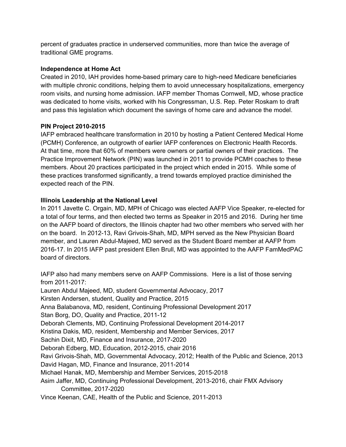percent of graduates practice in underserved communities, more than twice the average of traditional GME programs.

### **Independence at Home Act**

Created in 2010, IAH provides home-based primary care to high-need Medicare beneficiaries with multiple chronic conditions, helping them to avoid unnecessary hospitalizations, emergency room visits, and nursing home admission. IAFP member Thomas Cornwell, MD, whose practice was dedicated to home visits, worked with his Congressman, U.S. Rep. Peter Roskam to draft and pass this legislation which document the savings of home care and advance the model.

## **PIN Project 2010-2015**

IAFP embraced healthcare transformation in 2010 by hosting a Patient Centered Medical Home (PCMH) Conference, an outgrowth of earlier IAFP conferences on Electronic Health Records. At that time, more that 60% of members were owners or partial owners of their practices. The Practice Improvement Network (PIN) was launched in 2011 to provide PCMH coaches to these members. About 20 practices participated in the project which ended in 2015. While some of these practices transformed significantly, a trend towards employed practice diminished the expected reach of the PIN.

## **Illinois Leadership at the National Level**

In 2011 Javette C. Orgain, MD, MPH of Chicago was elected AAFP Vice Speaker, re-elected for a total of four terms, and then elected two terms as Speaker in 2015 and 2016. During her time on the AAFP board of directors, the Illinois chapter had two other members who served with her on the board. In 2012-13, Ravi Grivois-Shah, MD, MPH served as the New Physician Board member, and Lauren Abdul-Majeed, MD served as the Student Board member at AAFP from 2016-17. In 2015 IAFP past president Ellen Brull, MD was appointed to the AAFP FamMedPAC board of directors.

IAFP also had many members serve on AAFP Commissions. Here is a list of those serving from 2011-2017: Lauren Abdul Majeed, MD, student Governmental Advocacy, 2017 Kirsten Andersen, student, Quality and Practice, 2015 Anna Balabanova, MD, resident, Continuing Professional Development 2017 Stan Borg, DO, Quality and Practice, 2011-12 Deborah Clements, MD, Continuing Professional Development 2014-2017 Kristina Dakis, MD, resident, Membership and Member Services, 2017 Sachin Dixit, MD, Finance and Insurance, 2017-2020 Deborah Edberg, MD, Education, 2012-2015, chair 2016 Ravi Grivois-Shah, MD, Governmental Advocacy, 2012; Health of the Public and Science, 2013 David Hagan, MD, Finance and Insurance, 2011-2014 Michael Hanak, MD, Membership and Member Services, 2015-2018 Asim Jaffer, MD, Continuing Professional Development, 2013-2016, chair FMX Advisory Committee, 2017-2020 Vince Keenan, CAE, Health of the Public and Science, 2011-2013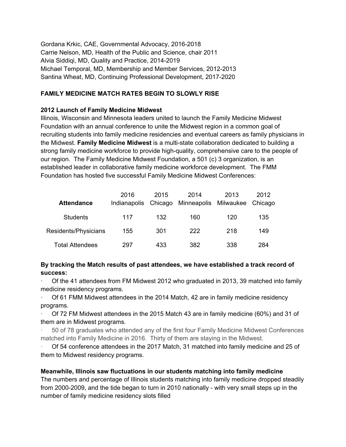Gordana Krkic, CAE, Governmental Advocacy, 2016-2018 Carrie Nelson, MD, Health of the Public and Science, chair 2011 Alvia Siddiqi, MD, Quality and Practice, 2014-2019 Michael Temporal, MD, Membership and Member Services, 2012-2013 Santina Wheat, MD, Continuing Professional Development, 2017-2020

# **FAMILY MEDICINE MATCH RATES BEGIN TO SLOWLY RISE**

## **2012 Launch of Family Medicine Midwest**

Illinois, Wisconsin and Minnesota leaders united to launch the Family Medicine Midwest Foundation with an annual conference to unite the Midwest region in a common goal of recruiting students into family medicine residencies and eventual careers as family physicians in the Midwest. **Family Medicine Midwest** is a multi-state collaboration dedicated to building a strong family medicine workforce to provide high-quality, comprehensive care to the people of our region. The Family Medicine Midwest Foundation, a 501 (c) 3 organization, is an established leader in collaborative family medicine workforce development. The FMM Foundation has hosted five successful Family Medicine Midwest Conferences:

| <b>Attendance</b>    | 2016<br>Indianapolis | 2015<br>Chicago | 2014<br>Minneapolis Milwaukee Chicago | 2013 | 2012 |
|----------------------|----------------------|-----------------|---------------------------------------|------|------|
| <b>Students</b>      | 117                  | 132             | 160                                   | 120  | 135  |
| Residents/Physicians | 155                  | 301             | 222                                   | 218  | 149  |
| Total Attendees      | 297                  | 433             | 382                                   | 338  | 284  |

# **By tracking the Match results of past attendees, we have established a track record of success:**

· Of the 41 attendees from FM Midwest 2012 who graduated in 2013, 39 matched into family medicine residency programs.

Of 61 FMM Midwest attendees in the 2014 Match, 42 are in family medicine residency programs.

· Of 72 FM Midwest attendees in the 2015 Match 43 are in family medicine (60%) and 31 of them are in Midwest programs.

· 50 of 78 graduates who attended any of the first four Family Medicine Midwest Conferences matched into Family Medicine in 2016. Thirty of them are staying in the Midwest.

· Of 54 conference attendees in the 2017 Match, 31 matched into family medicine and 25 of them to Midwest residency programs.

# **Meanwhile, Illinois saw fluctuations in our students matching into family medicine**

The numbers and percentage of Illinois students matching into family medicine dropped steadily from 2000-2009, and the tide began to turn in 2010 nationally - with very small steps up in the number of family medicine residency slots filled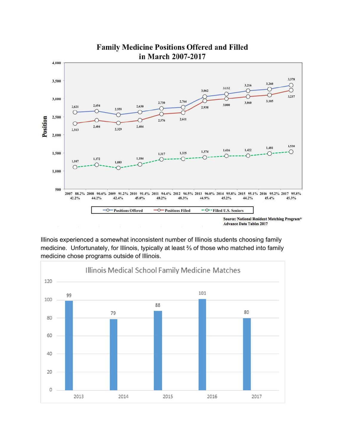

Illinois experienced a somewhat inconsistent number of Illinois students choosing family medicine. Unfortunately, for Illinois, typically at least ⅔ of those who matched into family medicine chose programs outside of Illinois.

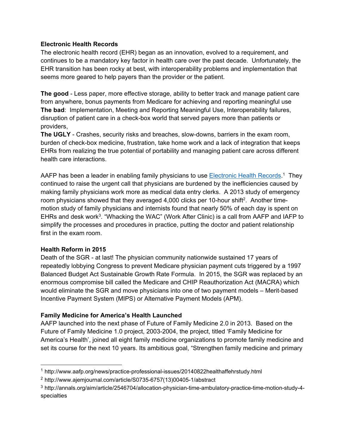## **Electronic Health Records**

The electronic health record (EHR) began as an innovation, evolved to a requirement, and continues to be a mandatory key factor in health care over the past decade. Unfortunately, the EHR transition has been rocky at best, with interoperability problems and implementation that seems more geared to help payers than the provider or the patient.

**The good** - Less paper, more effective storage, ability to better track and manage patient care from anywhere, bonus payments from Medicare for achieving and reporting meaningful use **The bad**: Implementation, Meeting and Reporting Meaningful Use, Interoperability failures, disruption of patient care in a check-box world that served payers more than patients or providers,

**The UGLY** - Crashes, security risks and breaches, slow-downs, barriers in the exam room, burden of check-box medicine, frustration, take home work and a lack of integration that keeps EHRs from realizing the true potential of portability and managing patient care across different health care interactions.

AAFP has been a leader in enabling family physicians to use <u>Electronic Health Records</u>.<sup>1</sup> They continued to raise the urgent call that physicians are burdened by the inefficiencies caused by making family physicians work more as medical data entry clerks. A 2013 study of emergency room physicians showed that they averaged 4,000 clicks per 10-hour shift<sup>2</sup>. Another timemotion study of family physicians and internists found that nearly 50% of each day is spent on EHRs and desk work<sup>3</sup>. "Whacking the WAC" (Work After Clinic) is a call from AAFP and IAFP to simplify the processes and procedures in practice, putting the doctor and patient relationship first in the exam room.

#### **Health Reform in 2015**

Death of the SGR - at last! The physician community nationwide sustained 17 years of repeatedly lobbying Congress to prevent Medicare physician payment cuts triggered by a 1997 Balanced Budget Act Sustainable Growth Rate Formula. In 2015, the SGR was replaced by an enormous compromise bill called the Medicare and CHIP Reauthorization Act (MACRA) which would eliminate the SGR and move physicians into one of two payment models – Merit-based Incentive Payment System (MIPS) or Alternative Payment Models (APM).

# **Family Medicine for America's Health Launched**

AAFP launched into the next phase of Future of Family Medicine 2.0 in 2013. Based on the Future of Family Medicine 1.0 project, 2003-2004, the project, titled 'Family Medicine for America's Health', joined all eight family medicine organizations to promote family medicine and set its course for the next 10 years. Its ambitious goal, "Strengthen family medicine and primary

 <sup>1</sup> http://www.aafp.org/news/practice-professional-issues/20140822healthaffehrstudy.html

<sup>2</sup> http://www.ajemjournal.com/article/S0735-6757(13)00405-1/abstract

<sup>3</sup> http://annals.org/aim/article/2546704/allocation-physician-time-ambulatory-practice-time-motion-study-4 specialties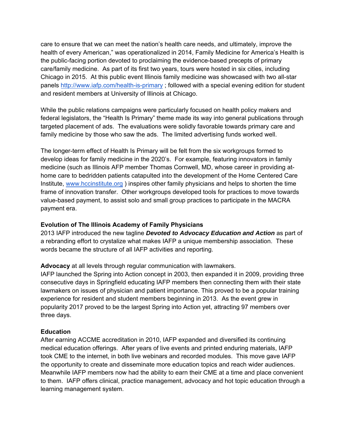care to ensure that we can meet the nation's health care needs, and ultimately, improve the health of every American," was operationalized in 2014, Family Medicine for America's Health is the public-facing portion devoted to proclaiming the evidence-based precepts of primary care/family medicine. As part of its first two years, tours were hosted in six cities, including Chicago in 2015. At this public event Illinois family medicine was showcased with two all-star panels http://www.iafp.com/health-is-primary ; followed with a special evening edition for student and resident members at University of Illinois at Chicago.

While the public relations campaigns were particularly focused on health policy makers and federal legislators, the "Health Is Primary" theme made its way into general publications through targeted placement of ads. The evaluations were solidly favorable towards primary care and family medicine by those who saw the ads. The limited advertising funds worked well.

The longer-term effect of Health Is Primary will be felt from the six workgroups formed to develop ideas for family medicine in the 2020's. For example, featuring innovators in family medicine (such as Illinois AFP member Thomas Cornwell, MD, whose career in providing athome care to bedridden patients catapulted into the development of the Home Centered Care Institute, www.hccinstitute.org ) inspires other family physicians and helps to shorten the time frame of innovation transfer. Other workgroups developed tools for practices to move towards value-based payment, to assist solo and small group practices to participate in the MACRA payment era.

#### **Evolution of The Illinois Academy of Family Physicians**

2013 IAFP introduced the new tagline *Devoted to Advocacy Education and Action* as part of a rebranding effort to crystalize what makes IAFP a unique membership association. These words became the structure of all IAFP activities and reporting.

**Advocacy** at all levels through regular communication with lawmakers.

IAFP launched the Spring into Action concept in 2003, then expanded it in 2009, providing three consecutive days in Springfield educating IAFP members then connecting them with their state lawmakers on issues of physician and patient importance. This proved to be a popular training experience for resident and student members beginning in 2013. As the event grew in popularity 2017 proved to be the largest Spring into Action yet, attracting 97 members over three days.

#### **Education**

After earning ACCME accreditation in 2010, IAFP expanded and diversified its continuing medical education offerings. After years of live events and printed enduring materials, IAFP took CME to the internet, in both live webinars and recorded modules. This move gave IAFP the opportunity to create and disseminate more education topics and reach wider audiences. Meanwhile IAFP members now had the ability to earn their CME at a time and place convenient to them. IAFP offers clinical, practice management, advocacy and hot topic education through a learning management system.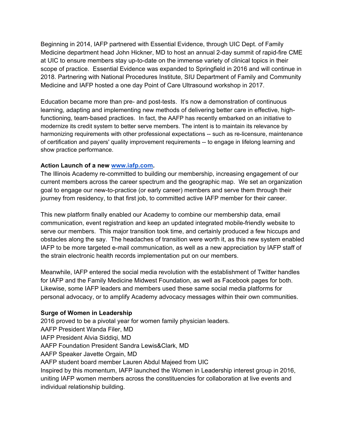Beginning in 2014, IAFP partnered with Essential Evidence, through UIC Dept. of Family Medicine department head John Hickner, MD to host an annual 2-day summit of rapid-fire CME at UIC to ensure members stay up-to-date on the immense variety of clinical topics in their scope of practice. Essential Evidence was expanded to Springfield in 2016 and will continue in 2018. Partnering with National Procedures Institute, SIU Department of Family and Community Medicine and IAFP hosted a one day Point of Care Ultrasound workshop in 2017.

Education became more than pre- and post-tests. It's now a demonstration of continuous learning, adapting and implementing new methods of delivering better care in effective, highfunctioning, team-based practices. In fact, the AAFP has recently embarked on an initiative to modernize its credit system to better serve members. The intent is to maintain its relevance by harmonizing requirements with other professional expectations -- such as re-licensure, maintenance of certification and payers' quality improvement requirements -- to engage in lifelong learning and show practice performance.

#### **Action Launch of a new www.iafp.com.**

The Illinois Academy re-committed to building our membership, increasing engagement of our current members across the career spectrum and the geographic map. We set an organization goal to engage our new-to-practice (or early career) members and serve them through their journey from residency, to that first job, to committed active IAFP member for their career.

This new platform finally enabled our Academy to combine our membership data, email communication, event registration and keep an updated integrated mobile-friendly website to serve our members. This major transition took time, and certainly produced a few hiccups and obstacles along the say. The headaches of transition were worth it, as this new system enabled IAFP to be more targeted e-mail communication, as well as a new appreciation by IAFP staff of the strain electronic health records implementation put on our members.

Meanwhile, IAFP entered the social media revolution with the establishment of Twitter handles for IAFP and the Family Medicine Midwest Foundation, as well as Facebook pages for both. Likewise, some IAFP leaders and members used these same social media platforms for personal advocacy, or to amplify Academy advocacy messages within their own communities.

#### **Surge of Women in Leadership**

2016 proved to be a pivotal year for women family physician leaders. AAFP President Wanda Filer, MD IAFP President Alvia Siddiqi, MD AAFP Foundation President Sandra Lewis&Clark, MD AAFP Speaker Javette Orgain, MD AAFP student board member Lauren Abdul Majeed from UIC Inspired by this momentum, IAFP launched the Women in Leadership interest group in 2016, uniting IAFP women members across the constituencies for collaboration at live events and individual relationship building.